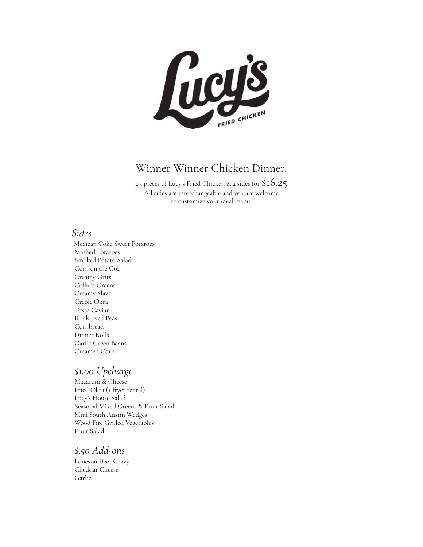

### Winner Winner Chicken Dinner:

2.5 pieces of Lucy's Fried Chicken & 2 sides for  $\$16.25$ All sides are interchangeable and you are welcome to customize your ideal menu.

### *Sides*

Mexican Coke Sweet Potatoes Mashed Potatoes Smoked Potato Salad Corn on the Cob Creamy Grits Collard Greens Creamy Slaw Creole Okra Texas Caviar Black Eyed Peas Cornbread Dinner Rolls Garlic Green Beans Creamed Corn

### *\$1.00 Upcharge*

Macaroni & Cheese Fried Okra (+ fryer rental) Lucy's House Salad Seasonal Mixed Greens & Fruit Salad Mini South Austin Wedges Wood Fire Grilled Vegetables Fruit Salad

### *\$.50 Add-ons*

Lonestar Beer Gravy Cheddar Cheese Garlic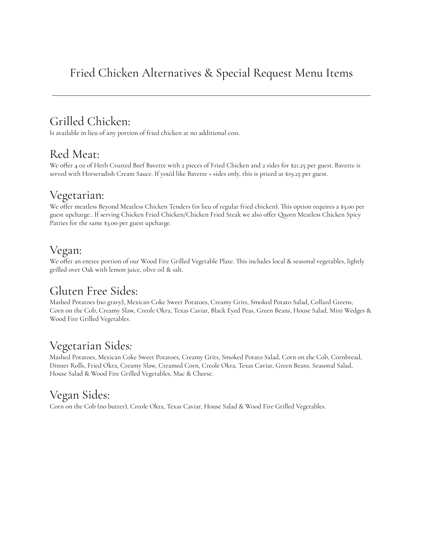## Grilled Chicken:

Is available in lieu of any portion of fried chicken at no additional cost.

### Red Meat:

We offer 4 oz of Herb Crusted Beef Bavette with 2 pieces of Fried Chicken and 2 sides for \$21.25 per guest. Bavette is served with Horseradish Cream Sauce. If you'd like Bavette + sides only, this is priced at \$19.25 per guest.

### Vegetarian:

We offer meatless Beyond Meatless Chicken Tenders (in lieu of regular fried chicken). This option requires a \$3.00 per guest upcharge.. If serving Chicken Fried Chicken/Chicken Fried Steak we also offer Quorn Meatless Chicken Spicy Patties for the same \$3.00 per guest upcharge.

## Vegan:

We offer an entree portion of our Wood Fire Grilled Vegetable Plate. This includes local & seasonal vegetables, lightly grilled over Oak with lemon juice, olive oil & salt.

## Gluten Free Sides:

Mashed Potatoes (no gravy), Mexican Coke Sweet Potatoes, Creamy Grits, Smoked Potato Salad, Collard Greens, Corn on the Cob, Creamy Slaw, Creole Okra, Texas Caviar, Black Eyed Peas, Green Beans, House Salad, Mini Wedges & Wood Fire Grilled Vegetables.

## Vegetarian Sides*:*

Mashed Potatoes, Mexican Coke Sweet Potatoes, Creamy Grits, Smoked Potato Salad, Corn on the Cob, Cornbread, Dinner Rolls, Fried Okra, Creamy Slaw, Creamed Corn, Creole Okra, Texas Caviar, Green Beans, Seasonal Salad, House Salad & Wood Fire Grilled Vegetables, Mac & Cheese.

## Vegan Sides:

Corn on the Cob (no butter), Creole Okra, Texas Caviar, House Salad & Wood Fire Grilled Vegetables.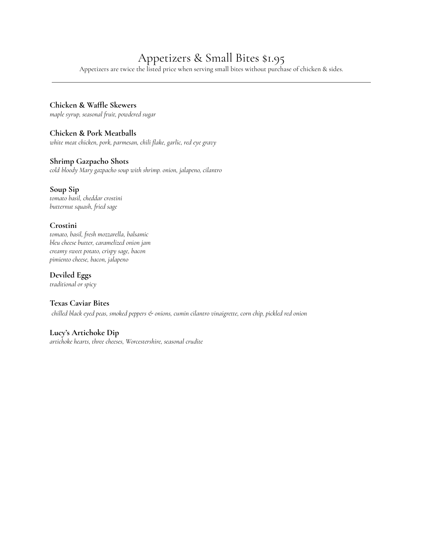## Appetizers & Small Bites \$1.95

Appetizers are twice the listed price when serving small bites without purchase of chicken & sides.

#### **Chicken & Waffle Skewers**

*maple syrup, seasonal fruit, powdered sugar*

#### **Chicken & Pork Meatballs**

*white meat chicken, pork, parmesan, chili flake, garlic, red eye gravy*

#### **Shrimp Gazpacho Shots**

*cold bloody Mary gazpacho soup with shrimp. onion, jalapeno, cilantro*

#### **Soup Sip**

*tomato basil, cheddar crostini butternut squash, fried sage*

#### **Crostini**

*tomato, basil, fresh mozzarella, balsamic bleu cheese butter, caramelized onion jam creamy sweet potato, crispy sage, bacon pimiento cheese, bacon, jalapeno*

**Deviled Eggs** *traditional or spicy*

**Texas Caviar Bites** *chilled black eyed peas, smoked peppers & onions, cumin cilantro vinaigrette, corn chip, pickled red onion*

#### **Lucy's Artichoke Dip**

*artichoke hearts, three cheeses, Worcestershire, seasonal crudite*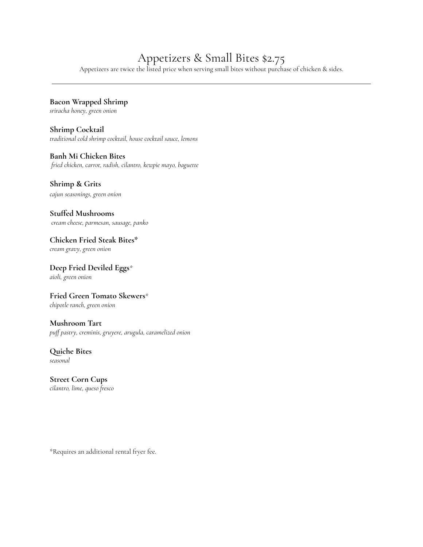## Appetizers & Small Bites \$2.75

Appetizers are twice the listed price when serving small bites without purchase of chicken & sides.

### **Bacon Wrapped Shrimp**

*sriracha honey, green onion*

**Shrimp Cocktail** *traditional cold shrimp cocktail, house cocktail sauce, lemons*

#### **Banh Mi Chicken Bites**

*fried chicken, carrot, radish, cilantro, kewpie mayo, baguette*

#### **Shrimp & Grits**

*cajun seasonings, green onion*

### **Stuffed Mushrooms**

*cream cheese, parmesan, sausage, panko*

### **Chicken Fried Steak Bites\***

*cream gravy, green onion*

#### **Deep Fried Deviled Eggs***\* aioli, green onion*

#### **Fried Green Tomato Skewers**\*

*chipotle ranch, green onion*

#### **Mushroom Tart**

*puff pastry, creminis, gruyere, arugula, caramelized onion*

### **Quiche Bites**

*seasonal*

### **Street Corn Cups**

*cilantro, lime, queso fresco*

\*Requires an additional rental fryer fee.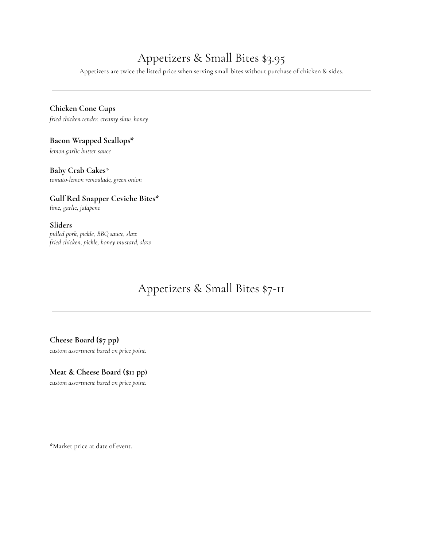## Appetizers & Small Bites \$3.95

Appetizers are twice the listed price when serving small bites without purchase of chicken & sides.

#### **Chicken Cone Cups**

*fried chicken tender, creamy slaw, honey*

#### **Bacon Wrapped Scallops\***

*lemon garlic butter sauce*

#### **Baby Crab Cakes***\**

*tomato-lemon remoulade, green onion*

### **Gulf Red Snapper Ceviche Bites\***

*lime, garlic, jalapeno*

#### **Sliders**

*pulled pork, pickle, BBQ sauce, slaw fried chicken, pickle, honey mustard, slaw*

### Appetizers & Small Bites \$7-11

#### **Cheese Board (\$7 pp)**

*custom assortment based on price point.*

#### **Meat & Cheese Board (\$11 pp)**

*custom assortment based on price point.*

\*Market price at date of event.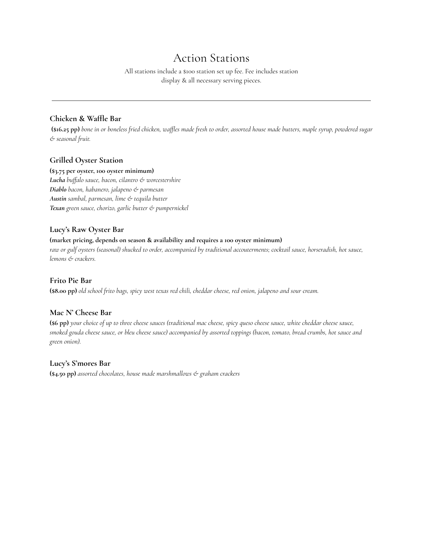### Action Stations

All stations include a \$100 station set up fee. Fee includes station display & all necessary serving pieces.

#### **Chicken & Waffle Bar**

(\$16.25 pp) bone in or boneless fried chicken, waffles made fresh to order, assorted house made butters, maple syrup, powdered sugar *& seasonal fruit.*

#### **Grilled Oyster Station**

#### **(\$3.75 per oyster, 100 oyster minimum)**

*Lucha buffalo sauce, bacon, cilantro & worcestershire Diablo bacon, habanero, jalapeno & parmesan Austin sambal, parmesan, lime & tequila butter Texan green sauce, chorizo, garlic butter & pumpernickel*

#### **Lucy's Raw Oyster Bar**

#### **(market pricing, depends on season & availability and requires a 100 oyster minimum)**

raw or gulf oysters (seasonal) shucked to order, accompanied by traditional accouterments; cocktail sauce, horseradish, hot sauce, *lemons & crackers.*

#### **Frito Pie Bar**

(\$8.00 pp) old school frito bags, spicy west texas red chili, cheddar cheese, red onion, jalapeno and sour cream.

#### **Mac N' Cheese Bar**

(\$6 pp) your choice of up to three cheese sauces (traditional mac cheese, spicy queso cheese sauce, white cheddar cheese sauce, smoked gouda cheese sauce, or bleu cheese sauce) accompanied by assorted toppings (bacon, tomato, bread crumbs, hot sauce and *green onion).*

#### **Lucy's S'mores Bar**

**(\$4.50 pp)** *assorted chocolates, house made marshmallows & graham crackers*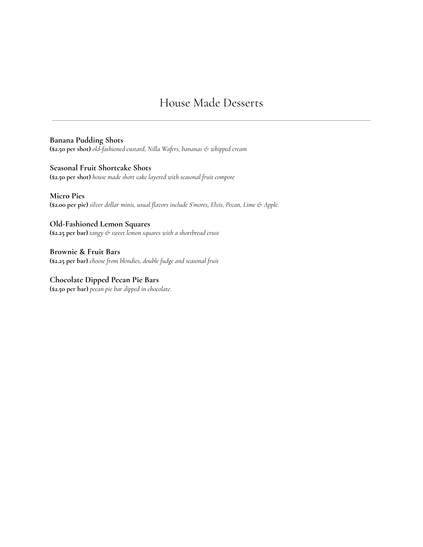### House Made Desserts

**Banana Pudding Shots (\$2.50 per shot)** *old-fashioned custard, Nilla Wafers, bananas & whipped cream*

**Seasonal Fruit Shortcake Shots (\$2.50 per shot)** *house made short cake layered with seasonal fruit compote*

**Micro Pies (\$2.00 per pie)** *silver dollar minis, usual flavors include S'mores, Elvis, Pecan, Lime & Apple.*

**Old-Fashioned Lemon Squares (\$2.25 per bar)** *tangy & sweet lemon squares with a shortbread crust*

**Brownie & Fruit Bars (\$2.25 per bar)** *choose from blondies, double fudge and seasonal fruit*

**Chocolate Dipped Pecan Pie Bars (\$2.50 per bar)** *pecan pie bar dipped in chocolate*.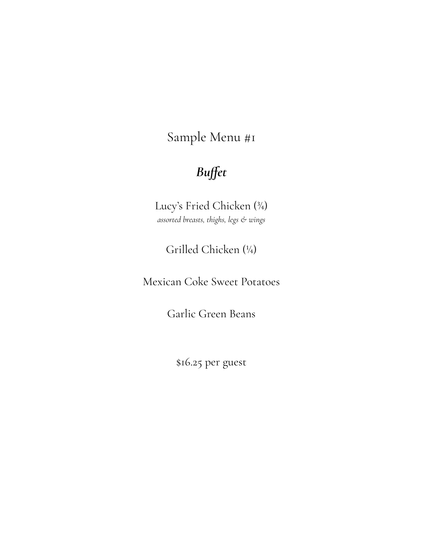# *Buffet*

Lucy's Fried Chicken (¾) *assorted breasts, thighs, legs & wings*

Grilled Chicken (¼)

Mexican Coke Sweet Potatoes

Garlic Green Beans

\$16.25 per guest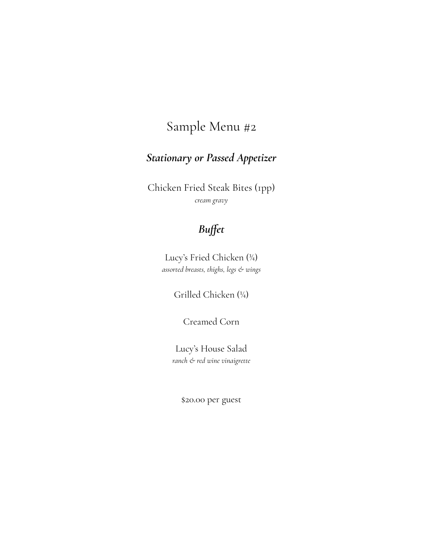## *Stationary or Passed Appetizer*

Chicken Fried Steak Bites (1pp) *cream gravy*

## *Buffet*

Lucy's Fried Chicken (¾) *assorted breasts, thighs, legs & wings*

Grilled Chicken (¼)

Creamed Corn

Lucy's House Salad *ranch & red wine vinaigrette*

\$20.00 per guest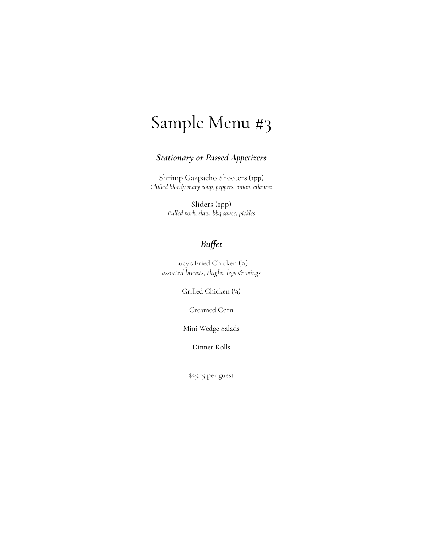### *Stationary or Passed Appetizers*

Shrimp Gazpacho Shooters (1pp) *Chilled bloody mary soup, peppers, onion, cilantro*

> Sliders (1pp) *Pulled pork, slaw, bbq sauce, pickles*

### *Buffet*

Lucy's Fried Chicken (¾) *assorted breasts, thighs, legs & wings*

Grilled Chicken (¼)

Creamed Corn

Mini Wedge Salads

Dinner Rolls

\$25.15 per guest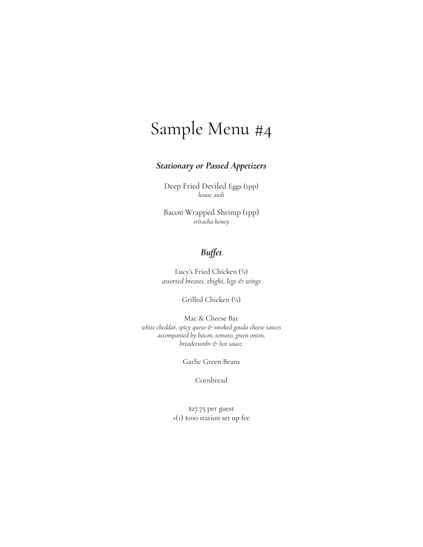#### *Stationary or Passed Appetizers*

Deep Fried Deviled Eggs (1pp) *house aioli*

Bacon Wrapped Shrimp (1pp) *sriracha honey*

### *Buffet*

Lucy's Fried Chicken (¾) *assorted breasts, thighs, legs & wings*

Grilled Chicken (¼)

Mac & Cheese Bar *white cheddar, spicy queso & smoked gouda cheese sauces accompanied by bacon, tomato, green onion, breadcrumbs & hot sauce.*

Garlic Green Beans

Cornbread

\$27.75 per guest +(1) \$100 station set up fee